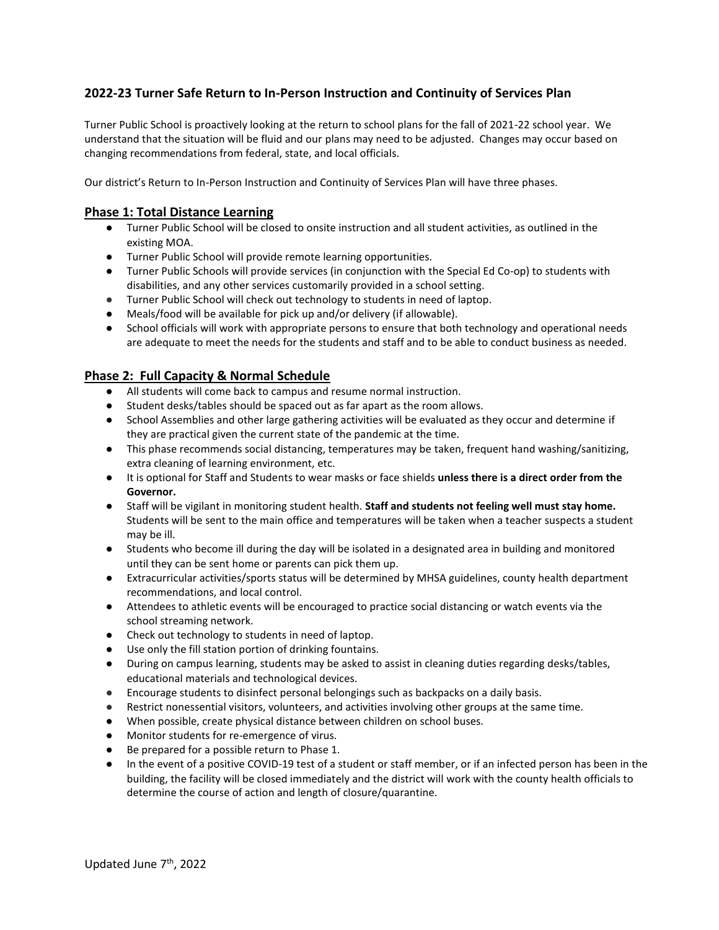## **2022-23 Turner Safe Return to In-Person Instruction and Continuity of Services Plan**

Turner Public School is proactively looking at the return to school plans for the fall of 2021-22 school year. We understand that the situation will be fluid and our plans may need to be adjusted. Changes may occur based on changing recommendations from federal, state, and local officials.

Our district's Return to In-Person Instruction and Continuity of Services Plan will have three phases.

### **Phase 1: Total Distance Learning**

- Turner Public School will be closed to onsite instruction and all student activities, as outlined in the existing MOA.
- Turner Public School will provide remote learning opportunities.
- Turner Public Schools will provide services (in conjunction with the Special Ed Co-op) to students with disabilities, and any other services customarily provided in a school setting.
- Turner Public School will check out technology to students in need of laptop.
- Meals/food will be available for pick up and/or delivery (if allowable).
- School officials will work with appropriate persons to ensure that both technology and operational needs are adequate to meet the needs for the students and staff and to be able to conduct business as needed.

### **Phase 2: Full Capacity & Normal Schedule**

- All students will come back to campus and resume normal instruction.
- Student desks/tables should be spaced out as far apart as the room allows.
- School Assemblies and other large gathering activities will be evaluated as they occur and determine if they are practical given the current state of the pandemic at the time.
- This phase recommends social distancing, temperatures may be taken, frequent hand washing/sanitizing, extra cleaning of learning environment, etc.
- It is optional for Staff and Students to wear masks or face shields **unless there is a direct order from the Governor.**
- Staff will be vigilant in monitoring student health. **Staff and students not feeling well must stay home.**  Students will be sent to the main office and temperatures will be taken when a teacher suspects a student may be ill.
- Students who become ill during the day will be isolated in a designated area in building and monitored until they can be sent home or parents can pick them up.
- Extracurricular activities/sports status will be determined by MHSA guidelines, county health department recommendations, and local control.
- Attendees to athletic events will be encouraged to practice social distancing or watch events via the school streaming network.
- Check out technology to students in need of laptop.
- Use only the fill station portion of drinking fountains.
- During on campus learning, students may be asked to assist in cleaning duties regarding desks/tables, educational materials and technological devices.
- Encourage students to disinfect personal belongings such as backpacks on a daily basis.
- Restrict nonessential visitors, volunteers, and activities involving other groups at the same time.
- When possible, create physical distance between children on school buses.
- Monitor students for re-emergence of virus.
- Be prepared for a possible return to Phase 1.
- In the event of a positive COVID-19 test of a student or staff member, or if an infected person has been in the building, the facility will be closed immediately and the district will work with the county health officials to determine the course of action and length of closure/quarantine.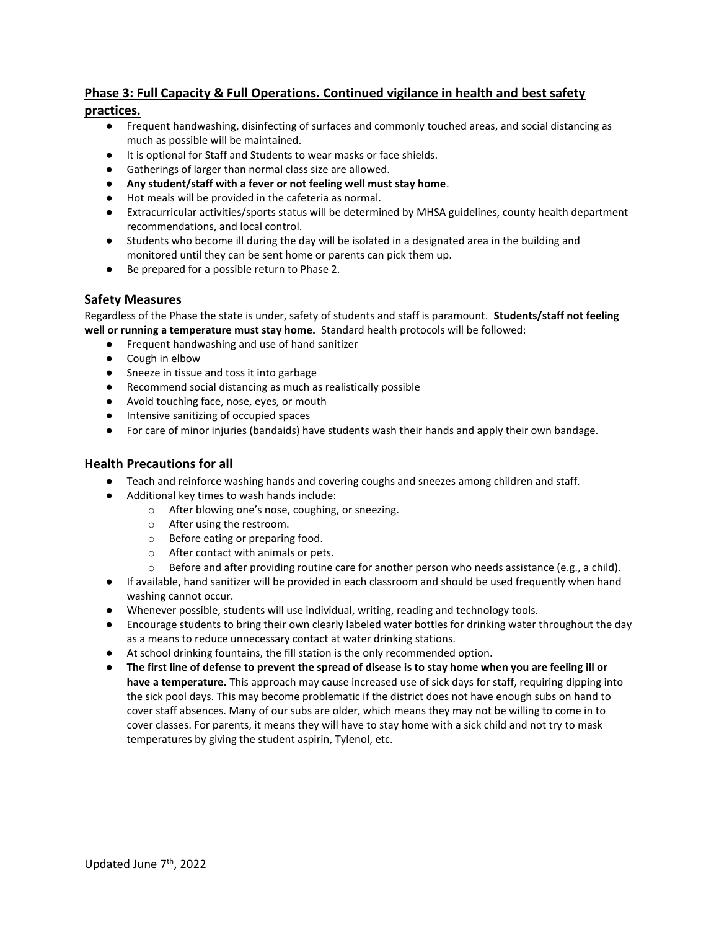# **Phase 3: Full Capacity & Full Operations. Continued vigilance in health and best safety**

### **practices.**

- Frequent handwashing, disinfecting of surfaces and commonly touched areas, and social distancing as much as possible will be maintained.
- It is optional for Staff and Students to wear masks or face shields.
- Gatherings of larger than normal class size are allowed.
- **Any student/staff with a fever or not feeling well must stay home**.
- Hot meals will be provided in the cafeteria as normal.
- Extracurricular activities/sports status will be determined by MHSA guidelines, county health department recommendations, and local control.
- Students who become ill during the day will be isolated in a designated area in the building and monitored until they can be sent home or parents can pick them up.
- Be prepared for a possible return to Phase 2.

### **Safety Measures**

Regardless of the Phase the state is under, safety of students and staff is paramount. **Students/staff not feeling well or running a temperature must stay home.** Standard health protocols will be followed:

- Frequent handwashing and use of hand sanitizer
- Cough in elbow
- Sneeze in tissue and toss it into garbage
- Recommend social distancing as much as realistically possible
- Avoid touching face, nose, eyes, or mouth
- Intensive sanitizing of occupied spaces
- For care of minor injuries (bandaids) have students wash their hands and apply their own bandage.

### **Health Precautions for all**

- Teach and reinforce washing hands and covering coughs and sneezes among children and staff.
- Additional key times to wash hands include:
	- o After blowing one's nose, coughing, or sneezing.
	- o After using the restroom.
	- o Before eating or preparing food.
	- o After contact with animals or pets.
	- $\circ$  Before and after providing routine care for another person who needs assistance (e.g., a child).
- If available, hand sanitizer will be provided in each classroom and should be used frequently when hand washing cannot occur.
- Whenever possible, students will use individual, writing, reading and technology tools.
- Encourage students to bring their own clearly labeled water bottles for drinking water throughout the day as a means to reduce unnecessary contact at water drinking stations.
- At school drinking fountains, the fill station is the only recommended option.
- **The first line of defense to prevent the spread of disease is to stay home when you are feeling ill or have a temperature.** This approach may cause increased use of sick days for staff, requiring dipping into the sick pool days. This may become problematic if the district does not have enough subs on hand to cover staff absences. Many of our subs are older, which means they may not be willing to come in to cover classes. For parents, it means they will have to stay home with a sick child and not try to mask temperatures by giving the student aspirin, Tylenol, etc.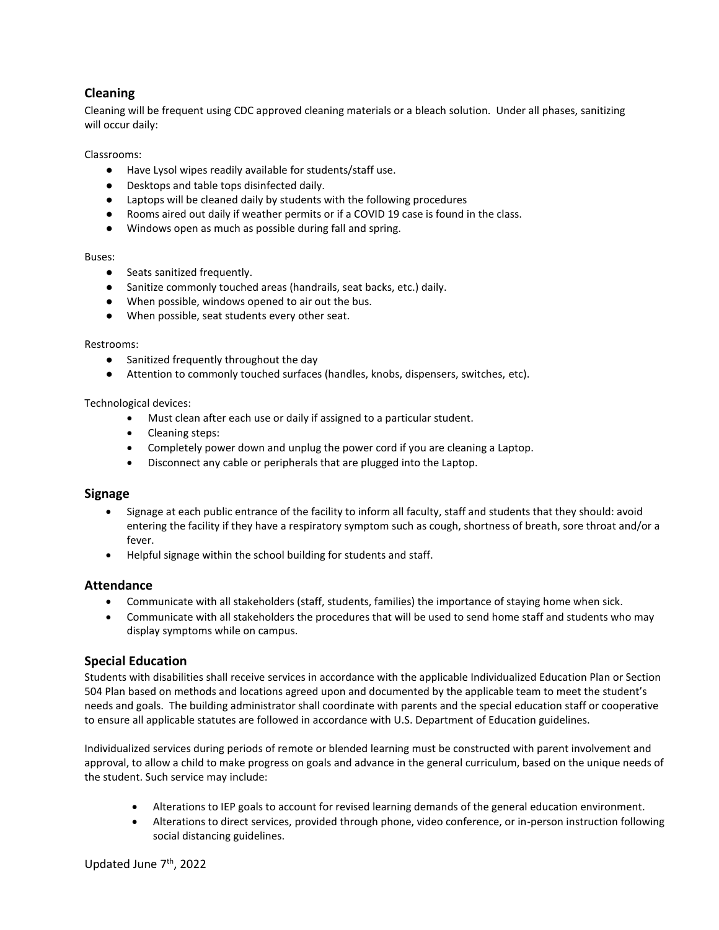# **Cleaning**

Cleaning will be frequent using CDC approved cleaning materials or a bleach solution. Under all phases, sanitizing will occur daily:

Classrooms:

- Have Lysol wipes readily available for students/staff use.
- Desktops and table tops disinfected daily.
- Laptops will be cleaned daily by students with the following procedures
- Rooms aired out daily if weather permits or if a COVID 19 case is found in the class.
- Windows open as much as possible during fall and spring.

#### Buses:

- Seats sanitized frequently.
- Sanitize commonly touched areas (handrails, seat backs, etc.) daily.
- When possible, windows opened to air out the bus.
- When possible, seat students every other seat.

#### Restrooms:

- Sanitized frequently throughout the day
- Attention to commonly touched surfaces (handles, knobs, dispensers, switches, etc).

#### Technological devices:

- Must clean after each use or daily if assigned to a particular student.
- Cleaning steps:
- Completely power down and unplug the power cord if you are cleaning a Laptop.
- Disconnect any cable or peripherals that are plugged into the Laptop.

#### **Signage**

- Signage at each public entrance of the facility to inform all faculty, staff and students that they should: avoid entering the facility if they have a respiratory symptom such as cough, shortness of breath, sore throat and/or a fever.
- Helpful signage within the school building for students and staff.

#### **Attendance**

- Communicate with all stakeholders (staff, students, families) the importance of staying home when sick.
- Communicate with all stakeholders the procedures that will be used to send home staff and students who may display symptoms while on campus.

### **Special Education**

Students with disabilities shall receive services in accordance with the applicable Individualized Education Plan or Section 504 Plan based on methods and locations agreed upon and documented by the applicable team to meet the student's needs and goals. The building administrator shall coordinate with parents and the special education staff or cooperative to ensure all applicable statutes are followed in accordance with U.S. Department of Education guidelines.

Individualized services during periods of remote or blended learning must be constructed with parent involvement and approval, to allow a child to make progress on goals and advance in the general curriculum, based on the unique needs of the student. Such service may include:

- Alterations to IEP goals to account for revised learning demands of the general education environment.
- Alterations to direct services, provided through phone, video conference, or in-person instruction following social distancing guidelines.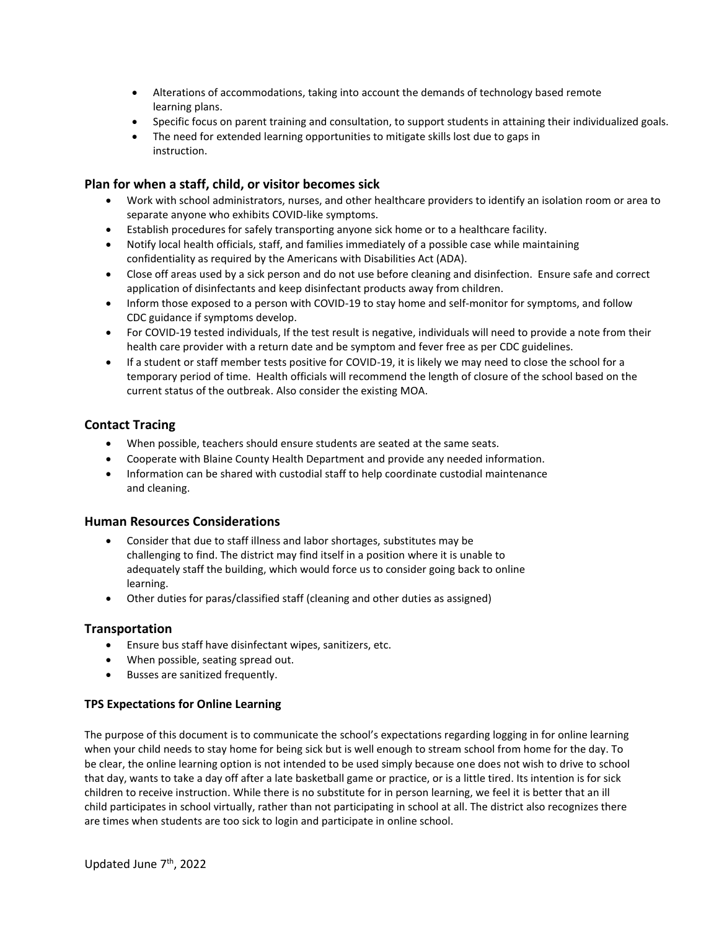- Alterations of accommodations, taking into account the demands of technology based remote learning plans.
- Specific focus on parent training and consultation, to support students in attaining their individualized goals.
- The need for extended learning opportunities to mitigate skills lost due to gaps in instruction.

### **Plan for when a staff, child, or visitor becomes sick**

- Work with school administrators, nurses, and other healthcare providers to identify an isolation room or area to separate anyone who exhibits COVID-like symptoms.
- Establish procedures for safely transporting anyone sick home or to a healthcare facility.
- Notify local health officials, staff, and families immediately of a possible case while maintaining confidentiality as required by the Americans with Disabilities Act (ADA).
- Close off areas used by a sick person and do not use before cleaning and disinfection. Ensure safe and correct application of disinfectants and keep disinfectant products away from children.
- Inform those exposed to a person with COVID-19 to stay home and self-monitor for symptoms, and follow CDC guidance if symptoms develop.
- For COVID-19 tested individuals, If the test result is negative, individuals will need to provide a note from their health care provider with a return date and be symptom and fever free as per CDC guidelines.
- If a student or staff member tests positive for COVID-19, it is likely we may need to close the school for a temporary period of time. Health officials will recommend the length of closure of the school based on the current status of the outbreak. Also consider the existing MOA.

### **Contact Tracing**

- When possible, teachers should ensure students are seated at the same seats.
- Cooperate with Blaine County Health Department and provide any needed information.
- Information can be shared with custodial staff to help coordinate custodial maintenance and cleaning.

### **Human Resources Considerations**

- Consider that due to staff illness and labor shortages, substitutes may be challenging to find. The district may find itself in a position where it is unable to adequately staff the building, which would force us to consider going back to online learning.
- Other duties for paras/classified staff (cleaning and other duties as assigned)

### **Transportation**

- Ensure bus staff have disinfectant wipes, sanitizers, etc.
- When possible, seating spread out.
- Busses are sanitized frequently.

#### **TPS Expectations for Online Learning**

The purpose of this document is to communicate the school's expectations regarding logging in for online learning when your child needs to stay home for being sick but is well enough to stream school from home for the day. To be clear, the online learning option is not intended to be used simply because one does not wish to drive to school that day, wants to take a day off after a late basketball game or practice, or is a little tired. Its intention is for sick children to receive instruction. While there is no substitute for in person learning, we feel it is better that an ill child participates in school virtually, rather than not participating in school at all. The district also recognizes there are times when students are too sick to login and participate in online school.